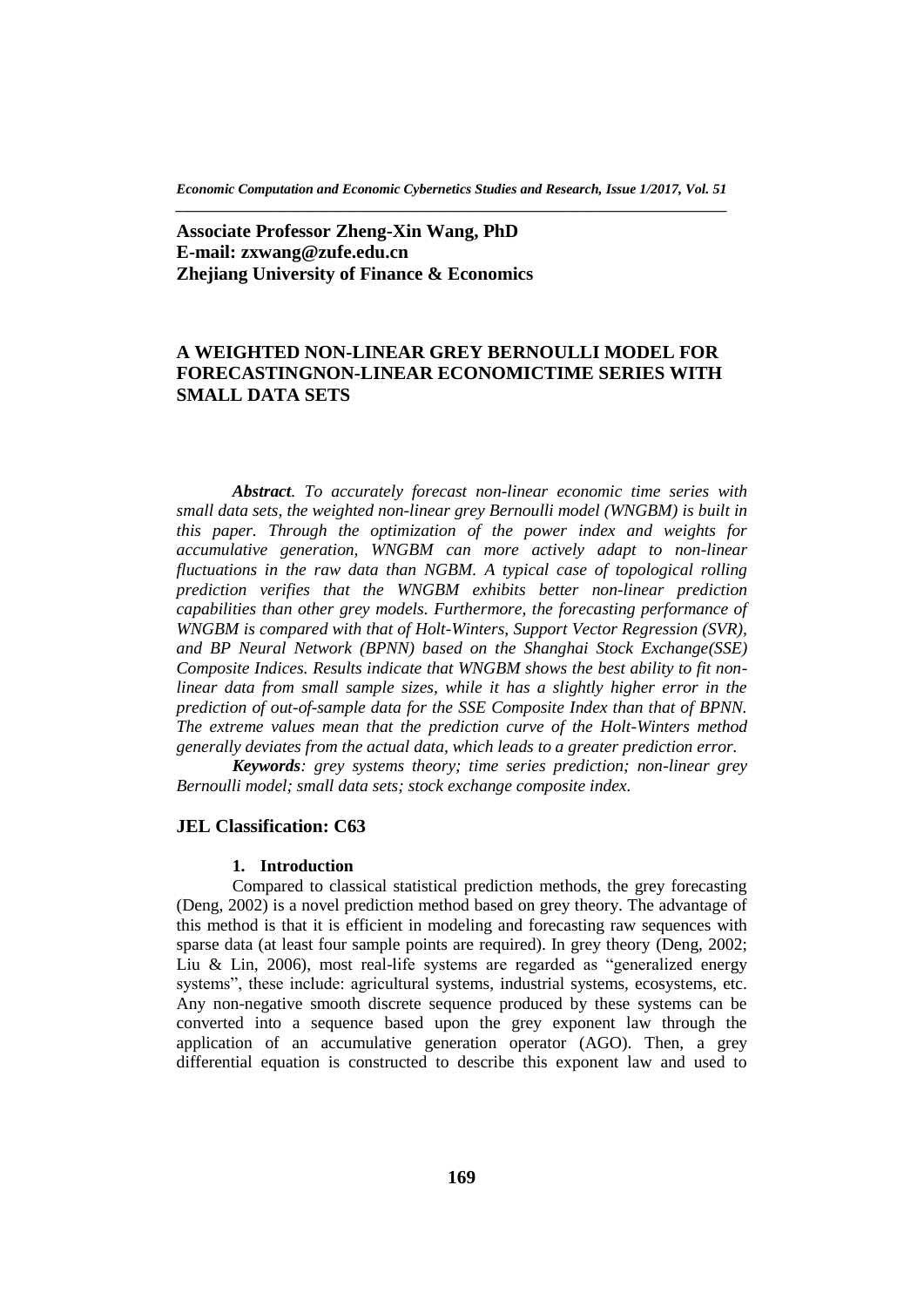*Economic Computation and Economic Cybernetics Studies and Research, Issue 1/2017, Vol. 51 \_\_\_\_\_\_\_\_\_\_\_\_\_\_\_\_\_\_\_\_\_\_\_\_\_\_\_\_\_\_\_\_\_\_\_\_\_\_\_\_\_\_\_\_\_\_\_\_\_\_\_\_\_\_\_\_\_\_\_\_\_\_\_\_\_\_\_\_\_\_\_\_\_\_\_\_\_\_\_*

**Associate Professor Zheng-Xin Wang, PhD E-mail: zxwang@zufe.edu.cn Zhejiang University of Finance & Economics**

# **A WEIGHTED NON-LINEAR GREY BERNOULLI MODEL FOR FORECASTINGNON-LINEAR ECONOMICTIME SERIES WITH SMALL DATA SETS**

*Abstract. To accurately forecast non-linear economic time series with small data sets, the weighted non-linear grey Bernoulli model (WNGBM) is built in this paper. Through the optimization of the power index and weights for accumulative generation, WNGBM can more actively adapt to non-linear fluctuations in the raw data than NGBM. A typical case of topological rolling prediction verifies that the WNGBM exhibits better non-linear prediction capabilities than other grey models. Furthermore, the forecasting performance of WNGBM is compared with that of Holt-Winters, Support Vector Regression (SVR), and BP Neural Network (BPNN) based on the Shanghai Stock Exchange(SSE) Composite Indices. Results indicate that WNGBM shows the best ability to fit nonlinear data from small sample sizes, while it has a slightly higher error in the prediction of out-of-sample data for the SSE Composite Index than that of BPNN. The extreme values mean that the prediction curve of the Holt-Winters method generally deviates from the actual data, which leads to a greater prediction error.*

*Keywords: grey systems theory; time series prediction; non-linear grey Bernoulli model; small data sets; stock exchange composite index.*

# **JEL Classification: C63**

### **1. Introduction**

Compared to classical statistical prediction methods, the grey forecasting (Deng, 2002) is a novel prediction method based on grey theory. The advantage of this method is that it is efficient in modeling and forecasting raw sequences with sparse data (at least four sample points are required). In grey theory (Deng, 2002; Liu & Lin, 2006), most real-life systems are regarded as "generalized energy systems", these include: agricultural systems, industrial systems, ecosystems, etc. Any non-negative smooth discrete sequence produced by these systems can be converted into a sequence based upon the grey exponent law through the application of an accumulative generation operator (AGO). Then, a grey differential equation is constructed to describe this exponent law and used to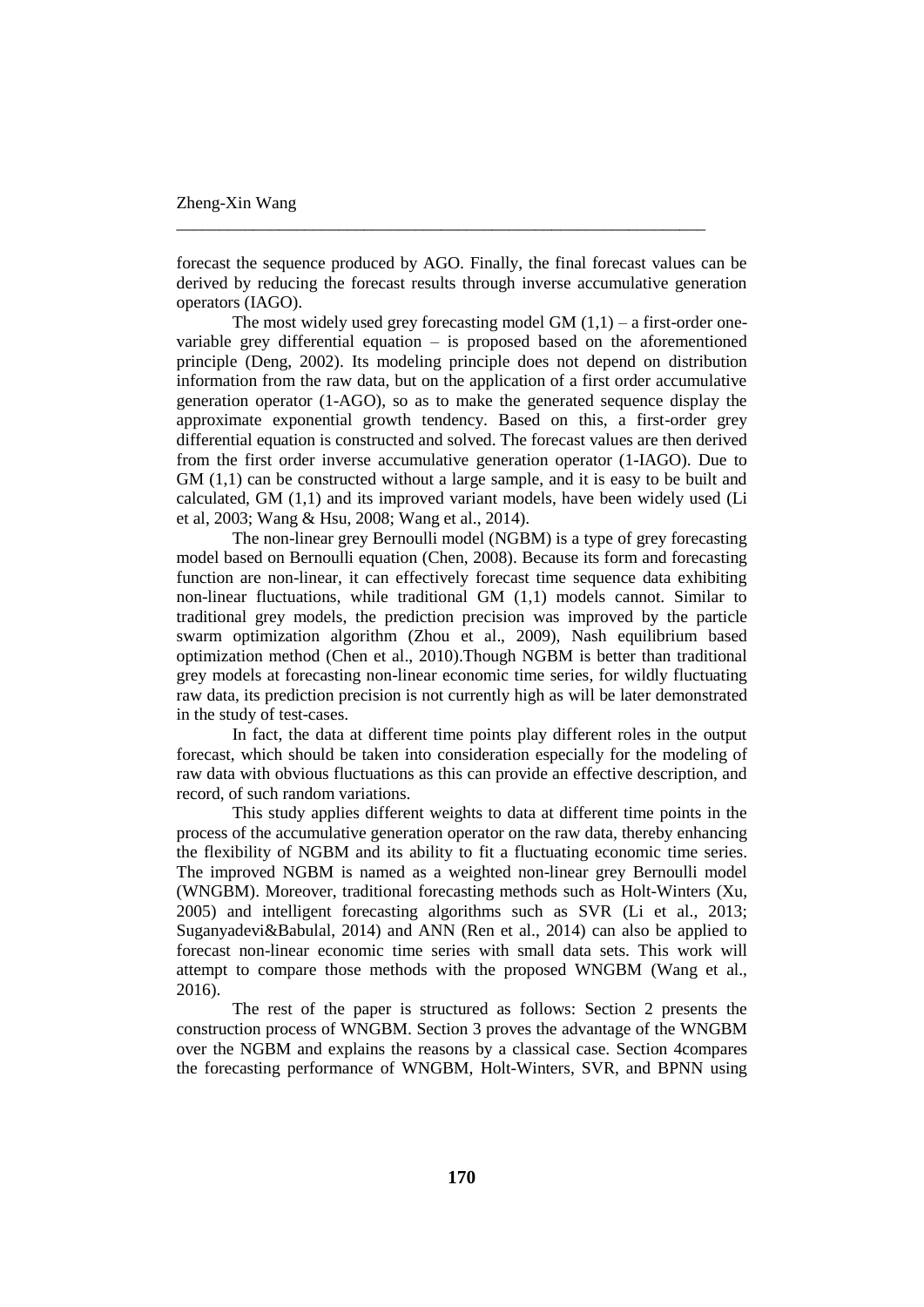forecast the sequence produced by AGO. Finally, the final forecast values can be derived by reducing the forecast results through inverse accumulative generation operators (IAGO).

\_\_\_\_\_\_\_\_\_\_\_\_\_\_\_\_\_\_\_\_\_\_\_\_\_\_\_\_\_\_\_\_\_\_\_\_\_\_\_\_\_\_\_\_\_\_\_\_\_\_\_\_\_\_\_\_\_\_\_\_\_\_

The most widely used grey forecasting model GM  $(1,1)$  – a first-order onevariable grey differential equation – is proposed based on the aforementioned principle (Deng, 2002). Its modeling principle does not depend on distribution information from the raw data, but on the application of a first order accumulative generation operator (1-AGO), so as to make the generated sequence display the approximate exponential growth tendency. Based on this, a first-order grey differential equation is constructed and solved. The forecast values are then derived from the first order inverse accumulative generation operator (1-IAGO). Due to GM  $(1,1)$  can be constructed without a large sample, and it is easy to be built and calculated, GM (1,1) and its improved variant models, have been widely used (Li et al, 2003; Wang & Hsu, 2008; Wang et al., 2014).

The non-linear grey Bernoulli model (NGBM) is a type of grey forecasting model based on Bernoulli equation (Chen, 2008). Because its form and forecasting function are non-linear, it can effectively forecast time sequence data exhibiting non-linear fluctuations, while traditional GM (1,1) models cannot. Similar to traditional grey models, the prediction precision was improved by the particle swarm optimization algorithm (Zhou et al., 2009), Nash equilibrium based optimization method (Chen et al., 2010).Though NGBM is better than traditional grey models at forecasting non-linear economic time series, for wildly fluctuating raw data, its prediction precision is not currently high as will be later demonstrated in the study of test-cases.

In fact, the data at different time points play different roles in the output forecast, which should be taken into consideration especially for the modeling of raw data with obvious fluctuations as this can provide an effective description, and record, of such random variations.

This study applies different weights to data at different time points in the process of the accumulative generation operator on the raw data, thereby enhancing the flexibility of NGBM and its ability to fit a fluctuating economic time series. The improved NGBM is named as a weighted non-linear grey Bernoulli model (WNGBM). Moreover, traditional forecasting methods such as Holt-Winters (Xu, 2005) and intelligent forecasting algorithms such as SVR (Li et al., 2013; Suganyadevi&Babulal, 2014) and ANN (Ren et al., 2014) can also be applied to forecast non-linear economic time series with small data sets. This work will attempt to compare those methods with the proposed WNGBM (Wang et al., 2016).

The rest of the paper is structured as follows: Section 2 presents the construction process of WNGBM. Section 3 proves the advantage of the WNGBM over the NGBM and explains the reasons by a classical case. Section 4compares the forecasting performance of WNGBM, Holt-Winters, SVR, and BPNN using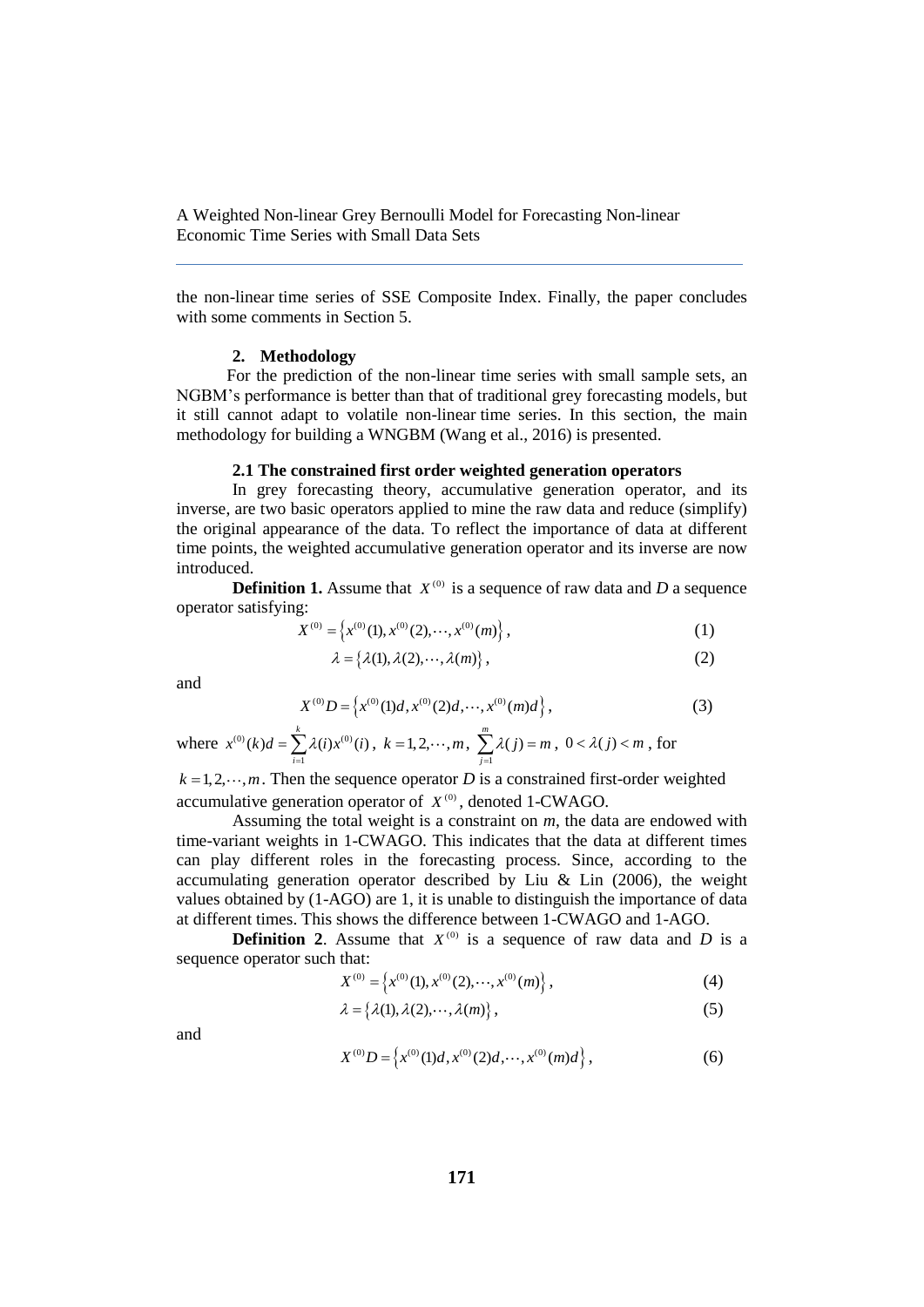the non-linear time series of SSE Composite Index. Finally, the paper concludes with some comments in Section 5.

## **2. Methodology**

For the prediction of the non-linear time series with small sample sets, an NGBM's performance is better than that of traditional grey forecasting models, but it still cannot adapt to volatile non-linear time series. In this section, the main methodology for building a WNGBM (Wang et al., 2016) is presented.

#### **2.1 The constrained first order weighted generation operators**

In grey forecasting theory, accumulative generation operator, and its inverse, are two basic operators applied to mine the raw data and reduce (simplify) the original appearance of the data. To reflect the importance of data at different time points, the weighted accumulative generation operator and its inverse are now introduced.

**Definition 1.** Assume that  $X^{(0)}$  is a sequence of raw data and *D* a sequence operator satisfying:

$$
X^{(0)} = \left\{ x^{(0)}(1), x^{(0)}(2), \cdots, x^{(0)}(m) \right\},\tag{1}
$$

$$
\lambda = \left\{ \lambda(1), \lambda(2), \cdots, \lambda(m) \right\},\tag{2}
$$

and

$$
X^{(0)}D = \left\{ x^{(0)}(1)d, x^{(0)}(2)d, \cdots, x^{(0)}(m)d \right\},\tag{3}
$$

where  $x^{(0)}(k)d = \sum \lambda(i)x^{(0)}$  $(k) d = \sum_{i=1}^{k} \lambda(i) x^{(0)}(i)$  $x^{(0)}(k)d = \sum_{i=1}^{n} \lambda(i)x^{(0)}(i)$ ,  $k = 1, 2, \cdots, m$ ,  $\sum_{j=1}^{n}$  $\sum_{i=1}^m \lambda(j)$ *j*  $\lambda(j) = m$  $\sum_{j=1} \lambda(j) = m, 0 < \lambda(j) < m$ , for

 $k = 1, 2, \dots, m$ . Then the sequence operator *D* is a constrained first-order weighted accumulative generation operator of  $X^{(0)}$ , denoted 1-CWAGO.

Assuming the total weight is a constraint on *m*, the data are endowed with time-variant weights in 1-CWAGO. This indicates that the data at different times can play different roles in the forecasting process. Since, according to the accumulating generation operator described by Liu & Lin  $(2006)$ , the weight values obtained by (1-AGO) are 1, it is unable to distinguish the importance of data at different times. This shows the difference between 1-CWAGO and 1-AGO.

**Definition 2.** Assume that  $X^{(0)}$  is a sequence of raw data and *D* is a sequence operator such that:

$$
X^{(0)} = \left\{ x^{(0)}(1), x^{(0)}(2), \cdots, x^{(0)}(m) \right\},\tag{4}
$$

$$
\lambda = \left\{ \lambda(1), \lambda(2), \cdots, \lambda(m) \right\},\tag{5}
$$

and

$$
X^{(0)}D = \left\{ x^{(0)}(1)d, x^{(0)}(2)d, \cdots, x^{(0)}(m)d \right\},\tag{6}
$$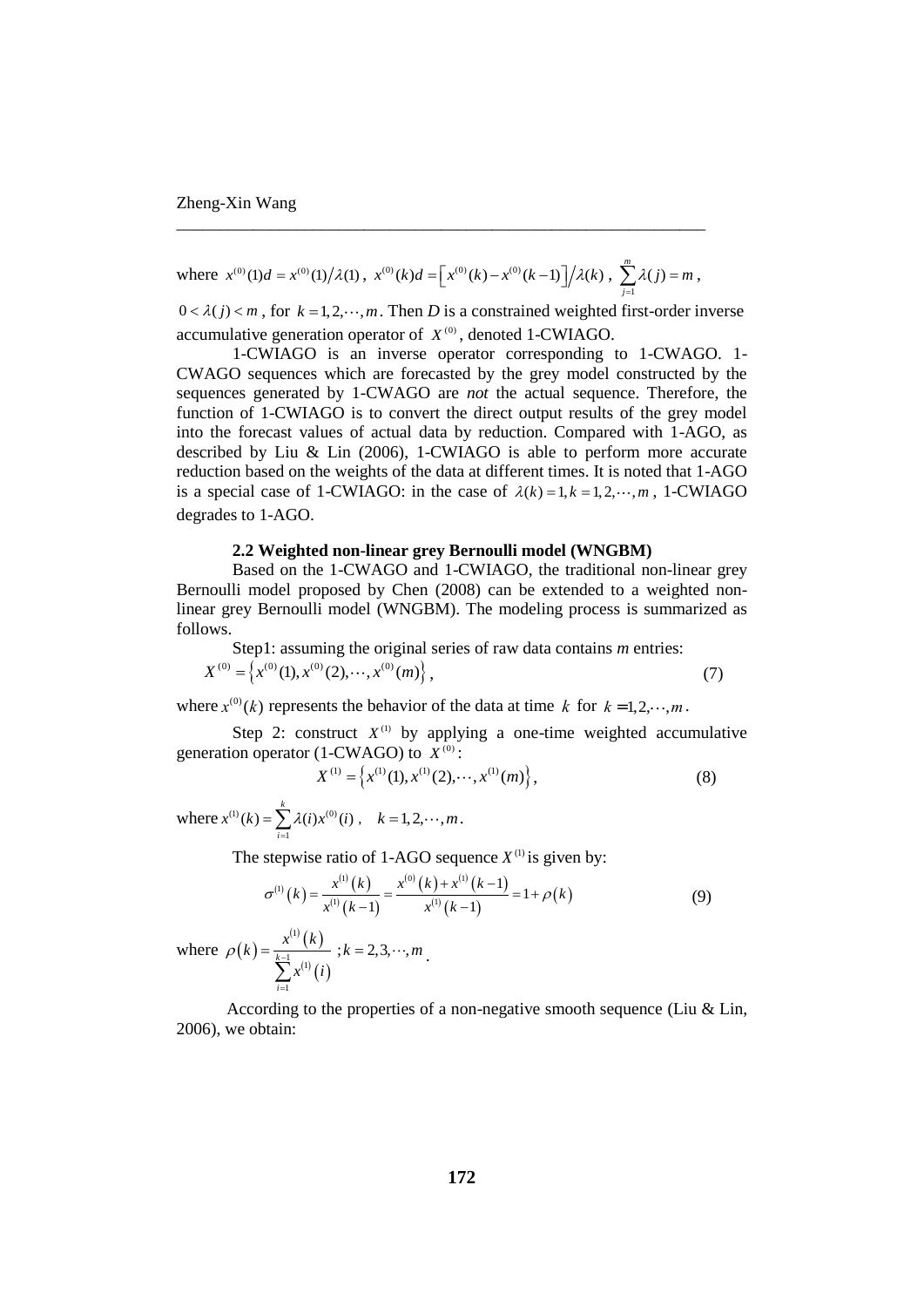where 
$$
x^{(0)}(1)d = x^{(0)}(1)/\lambda(1)
$$
,  $x^{(0)}(k)d = \left[x^{(0)}(k) - x^{(0)}(k-1)\right]/\lambda(k)$ ,  $\sum_{j=1}^{m} \lambda(j) = m$ ,

\_\_\_\_\_\_\_\_\_\_\_\_\_\_\_\_\_\_\_\_\_\_\_\_\_\_\_\_\_\_\_\_\_\_\_\_\_\_\_\_\_\_\_\_\_\_\_\_\_\_\_\_\_\_\_\_\_\_\_\_\_\_

 $0 < \lambda(j) < m$ , for  $k = 1, 2, \dots, m$ . Then *D* is a constrained weighted first-order inverse accumulative generation operator of  $X^{(0)}$ , denoted 1-CWIAGO.

1-CWIAGO is an inverse operator corresponding to 1-CWAGO. 1- CWAGO sequences which are forecasted by the grey model constructed by the sequences generated by 1-CWAGO are *not* the actual sequence. Therefore, the function of 1-CWIAGO is to convert the direct output results of the grey model into the forecast values of actual data by reduction. Compared with 1-AGO, as described by Liu & Lin (2006), 1-CWIAGO is able to perform more accurate reduction based on the weights of the data at different times. It is noted that 1-AGO is a special case of 1-CWIAGO: in the case of  $\lambda(k) = 1, k = 1, 2, \dots, m$ , 1-CWIAGO degrades to 1-AGO.

# **2.2 Weighted non-linear grey Bernoulli model (WNGBM)**

Based on the 1-CWAGO and 1-CWIAGO, the traditional non-linear grey Bernoulli model proposed by Chen (2008) can be extended to a weighted nonlinear grey Bernoulli model (WNGBM). The modeling process is summarized as follows.

Step1: assuming the original series of raw data contains *m* entries:  
\n
$$
X^{(0)} = \left\{ x^{(0)}(1), x^{(0)}(2), \cdots, x^{(0)}(m) \right\},
$$
\n(7)

where  $x^{(0)}(k)$  represents the behavior of the data at time k for  $k = 1, 2, \dots, m$ .

Step 2: construct  $X^{(1)}$  by applying a one-time weighted accumulative generation operator (1-CWAGO) to  $X^{(0)}$ :

$$
X^{(1)} = \left\{ x^{(1)}(1), x^{(1)}(2), \cdots, x^{(1)}(m) \right\},\tag{8}
$$

where  $x^{(1)}(k) = \sum \lambda(i) x^{(0)}$ 1  $(k) = \sum_{k}^{k} \lambda(i) x^{(0)}(i)$ *i*  $x^{(1)}(k) = \sum \lambda(i) x^{(0)}(i)$  $=\sum_{i=1} \lambda(i) x^{(0)}(i)$ ,  $k = 1, 2, \cdots, m$ .

The stepwise ratio of 1-AGO sequence 
$$
X^{(1)}
$$
 is given by:  
\n
$$
\sigma^{(1)}(k) = \frac{x^{(1)}(k)}{x^{(1)}(k-1)} = \frac{x^{(0)}(k) + x^{(1)}(k-1)}{x^{(1)}(k-1)} = 1 + \rho(k)
$$
\n(9)

where  $\rho(k)$  $^{(1)}(k)$  $^{(1)}(i)$ 1  $\sum_{n=1}^{k-1}$   $(1$ 1 *i*  $k) = \frac{x^{(1)}(k)}{k-1}$ *x i*  $\rho(k) = \frac{1}{k-1}$ =  $\sum$  $; k = 2, 3, \cdots, m$ 

According to the properties of a non-negative smooth sequence (Liu & Lin, 2006), we obtain: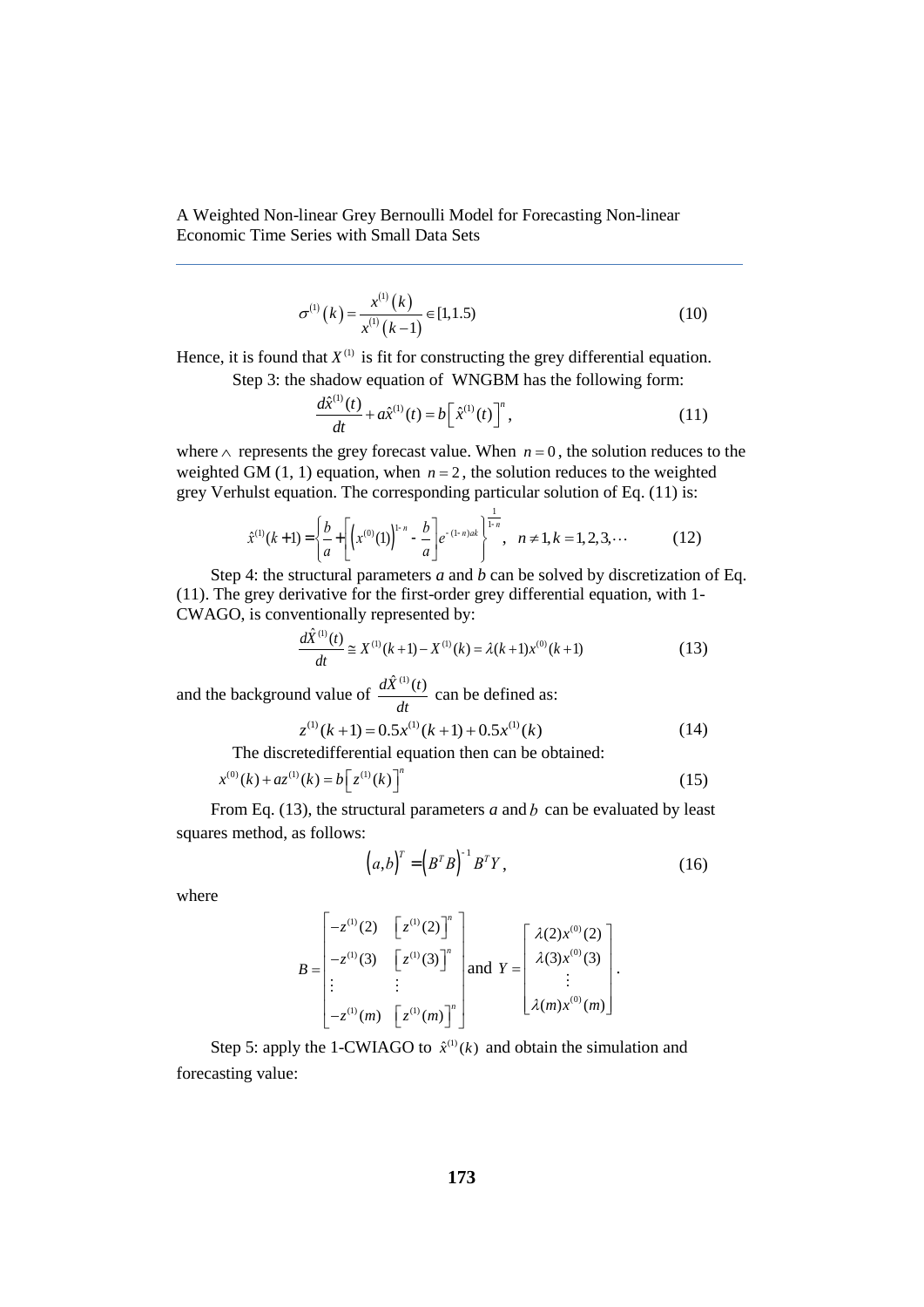$$
\sigma^{(1)}(k) = \frac{x^{(1)}(k)}{x^{(1)}(k-1)} \in [1, 1.5)
$$
\n(10)

Hence, it is found that  $X^{(1)}$  is fit for constructing the grey differential equation. Step 3: the shadow equation of WNGBM has the following form:

$$
\frac{d\hat{x}^{(1)}(t)}{dt} + a\hat{x}^{(1)}(t) = b[\hat{x}^{(1)}(t)]^{n},
$$
\n(11)

where  $\wedge$  represents the grey forecast value. When  $n = 0$ , the solution reduces to the weighted GM  $(1, 1)$  equation, when  $n = 2$ , the solution reduces to the weighted grey Verhulst equation. The corresponding particular solution of Eq. (11) is:

$$
\hat{x}^{(1)}(k+1) = \left\{ \frac{b}{a} + \left[ \left( x^{(0)}(1) \right)^{1-n} - \frac{b}{a} \right] e^{-(1-n)ak} \right\}^{\frac{1}{1-n}}, \quad n \neq 1, k = 1, 2, 3, \cdots \tag{12}
$$

Step 4: the structural parameters *a* and *b* can be solved by discretization of Eq. (11). The grey derivative for the first-order grey differential equation, with 1-

CWAGO, is conventionally represented by:  
\n
$$
\frac{d\hat{X}^{(1)}(t)}{dt} \cong X^{(1)}(k+1) - X^{(1)}(k) = \lambda(k+1)x^{(0)}(k+1)
$$
\n(13)

and the background value of  $\frac{d\hat{X}^{(1)}(t)}{d\hat{X}^{(2)}(t)}$  $\frac{d}{dt}$  can be defined as:

$$
at
$$
  
z<sup>(1)</sup>(k+1) = 0.5x<sup>(1)</sup>(k+1) + 0.5x<sup>(1)</sup>(k) (14)

The discretedifferential equation then can be obtained:

$$
x^{(0)}(k) + az^{(1)}(k) = b\left[z^{(1)}(k)\right]^n
$$
\n(15)

From Eq. (13), the structural parameters *a* and *b* can be evaluated by least squares method, as follows:

$$
(a,b)^{T} = (B^{T}B)^{-1}B^{T}Y, \qquad (16)
$$

where

$$
B = \begin{bmatrix} -z^{(1)}(2) & \left[ z^{(1)}(2) \right]^n \\ -z^{(1)}(3) & \left[ z^{(1)}(3) \right]^n \\ \vdots & \vdots \\ -z^{(1)}(m) & \left[ z^{(1)}(m) \right]^n \end{bmatrix} \text{ and } Y = \begin{bmatrix} \lambda(2)x^{(0)}(2) \\ \lambda(3)x^{(0)}(3) \\ \vdots \\ \lambda(m)x^{(0)}(m) \end{bmatrix}.
$$

Step 5: apply the 1-CWIAGO to  $\hat{x}^{(1)}(k)$  and obtain the simulation and forecasting value: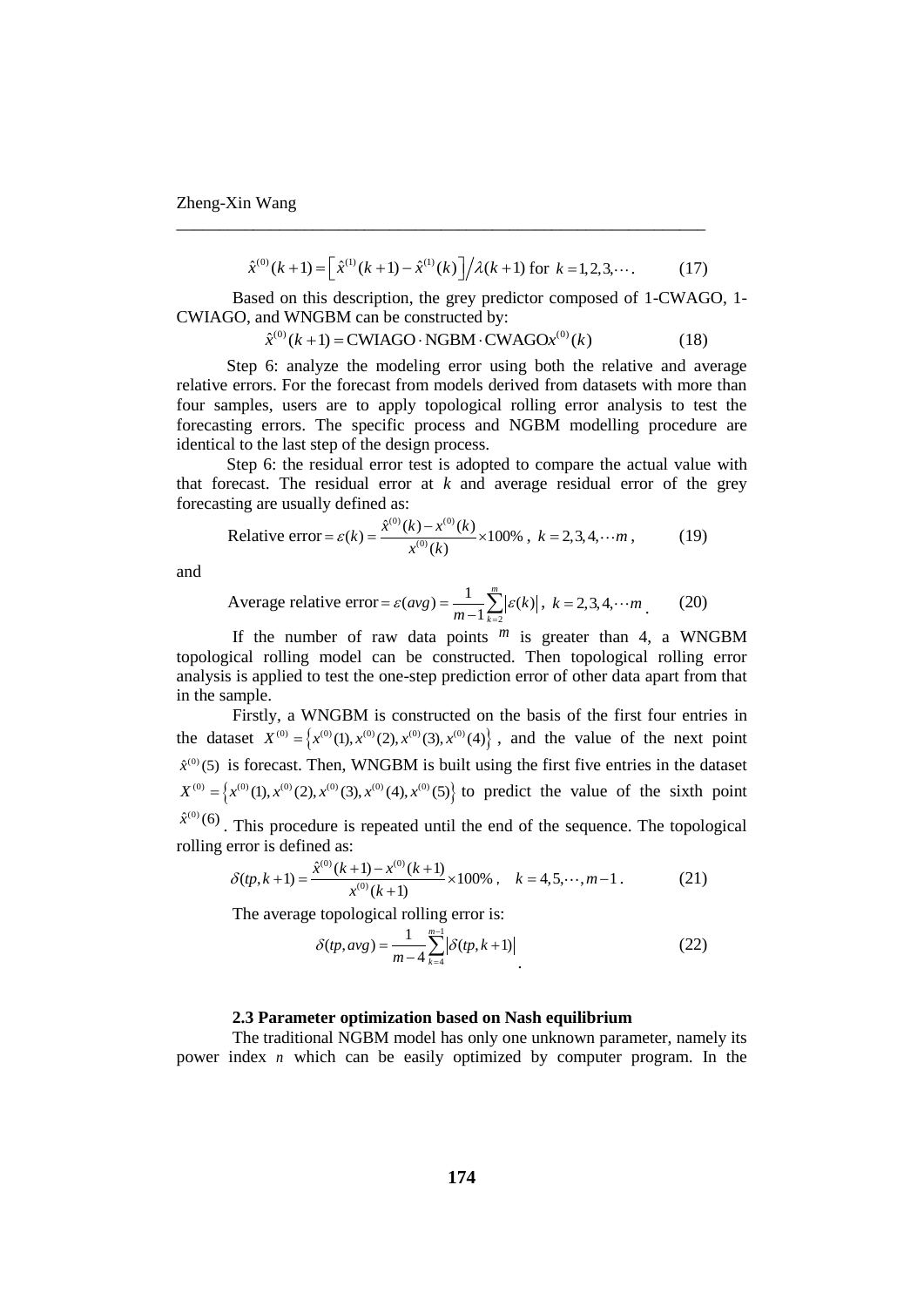$$
\hat{x}^{(0)}(k+1) = \left[\hat{x}^{(1)}(k+1) - \hat{x}^{(1)}(k)\right] / \lambda(k+1) \text{ for } k = 1, 2, 3, \cdots. \tag{17}
$$

Based on this description, the grey predictor composed of 1-CWAGO, 1- CWIAGO, and WNGBM can be constructed by:

\_\_\_\_\_\_\_\_\_\_\_\_\_\_\_\_\_\_\_\_\_\_\_\_\_\_\_\_\_\_\_\_\_\_\_\_\_\_\_\_\_\_\_\_\_\_\_\_\_\_\_\_\_\_\_\_\_\_\_\_\_\_

 $\hat{x}^{(0)}(k+1) = \text{CWIAGO} \cdot \text{NGBM} \cdot \text{CWAGO} x^{(0)}(k)$  (18)

Step 6: analyze the modeling error using both the relative and average relative errors. For the forecast from models derived from datasets with more than four samples, users are to apply topological rolling error analysis to test the forecasting errors. The specific process and NGBM modelling procedure are identical to the last step of the design process.

Step 6: the residual error test is adopted to compare the actual value with that forecast. The residual error at  $k$  and average residual error of the grey forecasting are usually defined as:

Relative error = 
$$
\varepsilon(k) = \frac{\hat{x}^{(0)}(k) - x^{(0)}(k)}{x^{(0)}(k)}
$$
 × 100%,  $k = 2, 3, 4, \dots m$ , (19)

and

Average relative error = 
$$
\varepsilon(avg) = \frac{1}{m-1} \sum_{k=2}^{m} |\varepsilon(k)|
$$
,  $k = 2, 3, 4, \cdots m$ . (20)

If the number of raw data points  $^m$  is greater than 4, a WNGBM topological rolling model can be constructed. Then topological rolling error analysis is applied to test the one-step prediction error of other data apart from that in the sample.

Firstly, a WNGBM is constructed on the basis of the first four entries in the dataset  $X^{(0)} = \left\{ x^{(0)}(1), x^{(0)}(2), x^{(0)}(3), x^{(0)}(4) \right\}$ , and the value of the next point  $\hat{x}^{(0)}$ (5) is forecast. Then, WNGBM is built using the first five entries in the dataset  $X^{(0)} = \{x^{(0)}(1), x^{(0)}(2), x^{(0)}(3), x^{(0)}(4), x^{(0)}(5)\}$  to predict the value of the sixth point  $\hat{x}^{(0)}$  (6). This procedure is repeated until the end of the sequence. The topological

rolling error is defined as:  
\n
$$
\delta(tp, k+1) = \frac{\hat{x}^{(0)}(k+1) - x^{(0)}(k+1)}{x^{(0)}(k+1)} \times 100\%, \quad k = 4, 5, \dots, m-1.
$$
\n(21)

The average topological rolling error is:

$$
\delta(pp, avg) = \frac{1}{m-4} \sum_{k=4}^{m-1} |\delta(pp, k+1)|
$$
\n(22)

#### **2.3 Parameter optimization based on Nash equilibrium**

The traditional NGBM model has only one unknown parameter, namely its power index *n* which can be easily optimized by computer program. In the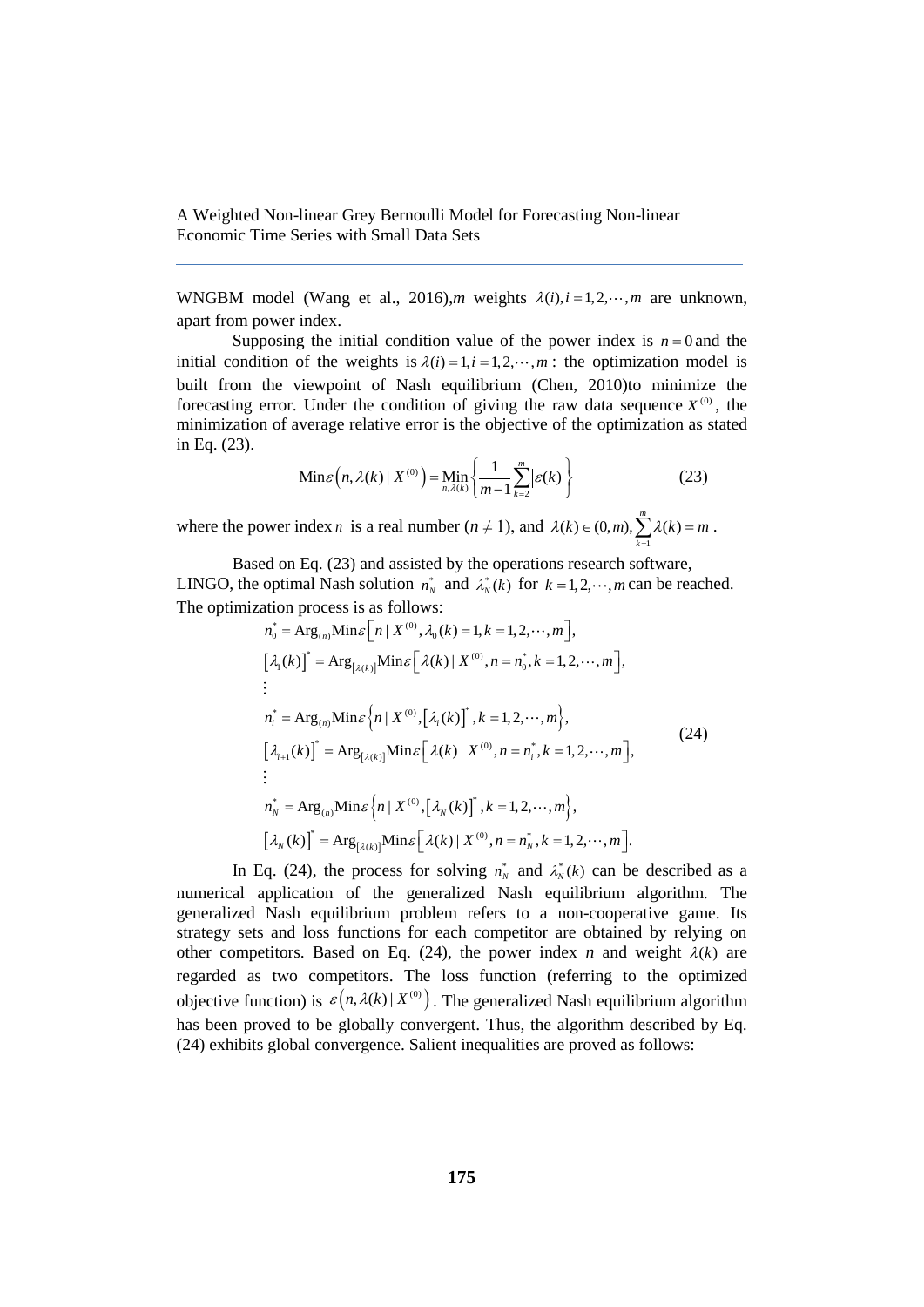WNGBM model (Wang et al., 2016),*m* weights  $\lambda(i)$ ,  $i = 1, 2, \dots, m$  are unknown, apart from power index.

Supposing the initial condition value of the power index is  $n = 0$  and the initial condition of the weights is  $\lambda(i) = 1, i = 1, 2, \dots, m$ : the optimization model is built from the viewpoint of Nash equilibrium (Chen, 2010)to minimize the forecasting error. Under the condition of giving the raw data sequence  $X^{(0)}$ , the minimization of average relative error is the objective of the optimization as stated in Eq. (23).

Min
$$
\varepsilon
$$
  $\left(n, \lambda(k) | X^{(0)}\right) = \min_{n, \lambda(k)} \left\{\frac{1}{m-1} \sum_{k=2}^{m} |\varepsilon(k)|\right\}$  (23)

where the power index *n* is a real number ( $n \neq 1$ ), and  $(k) \in (0, m), \sum_{k=1}^{m} \lambda(k)$  $\lambda(k) \in (0, m), \sum_{k=1}^{m} \lambda(k) = m$ .

Based on Eq. (23) and assisted by the operations research software, LINGO, the optimal Nash solution  $n_N^*$  and  $\lambda_N^*(k)$  for  $k = 1, 2, \dots, m$  can be reached.

The optimization process is as follows:  
\n
$$
n_0^* = \text{Arg}_{(n)} \text{Min} \varepsilon [n | X^{(0)}, \lambda_0(k) = 1, k = 1, 2, \cdots, m],
$$
\n[ $\lambda_1(k)$ ]<sup>\*</sup> =  $\text{Arg}_{[ \lambda(k) ]}$   $\text{Min} \varepsilon [\lambda(k) | X^{(0)}, n = n_0^*, k = 1, 2, \cdots, m],$   
\n
$$
\vdots
$$
\n
$$
n_i^* = \text{Arg}_{(n)} \text{Min} \varepsilon [n | X^{(0)}, [\lambda_i(k)]^*, k = 1, 2, \cdots, m],
$$
\n[ $\lambda_{i+1}(k)$ ]<sup>\*</sup> =  $\text{Arg}_{[\lambda(k)]}$   $\text{Min} \varepsilon [\lambda(k) | X^{(0)}, n = n_i^*, k = 1, 2, \cdots, m],$   
\n
$$
\vdots
$$
\n
$$
n_N^* = \text{Arg}_{(n)} \text{Min} \varepsilon [n | X^{(0)}, [\lambda_N(k)]^*, k = 1, 2, \cdots, m],
$$
\n[ $\lambda_N(k)$ ]<sup>\*</sup> =  $\text{Arg}_{[\lambda(k)]}$   $\text{Min} \varepsilon [\lambda(k) | X^{(0)}, n = n_N^*, k = 1, 2, \cdots, m].$ 

In Eq. (24), the process for solving  $n_N^*$  and  $\lambda_N^*(k)$  can be described as a numerical application of the generalized Nash equilibrium algorithm. The generalized Nash equilibrium problem refers to a non-cooperative game. Its strategy sets and loss functions for each competitor are obtained by relying on other competitors. Based on Eq. (24), the power index *n* and weight  $\lambda(k)$  are regarded as two competitors. The loss function (referring to the optimized objective function) is  $\varepsilon (n, \lambda(k) | X^{(0)})$ . The generalized Nash equilibrium algorithm has been proved to be globally convergent. Thus, the algorithm described by Eq. (24) exhibits global convergence. Salient inequalities are proved as follows: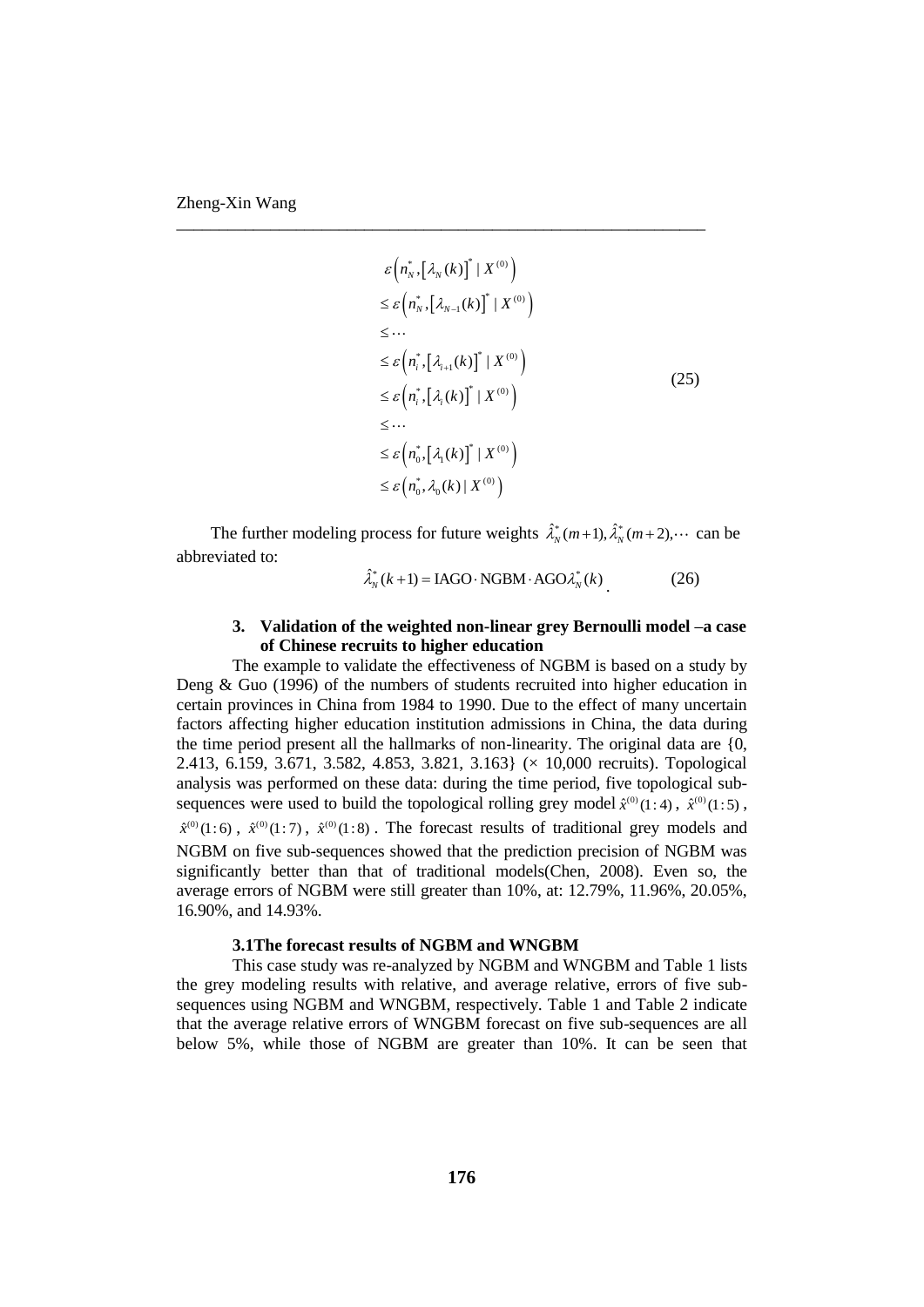$$
\varepsilon\left(n_N^*\left[\lambda_N(k)\right]^* \mid X^{(0)}\right)
$$
\n
$$
\leq \varepsilon\left(n_N^*\left[\lambda_{N-1}(k)\right]^* \mid X^{(0)}\right)
$$
\n
$$
\leq \cdots
$$
\n
$$
\leq \varepsilon\left(n_i^*\left[\lambda_{i+1}(k)\right]^* \mid X^{(0)}\right)
$$
\n
$$
\leq \varepsilon\left(n_i^*\left[\lambda_i(k)\right]^* \mid X^{(0)}\right)
$$
\n
$$
\leq \cdots
$$
\n
$$
\leq \varepsilon\left(n_0^*\left[\lambda_1(k)\right]^* \mid X^{(0)}\right)
$$
\n
$$
\leq \varepsilon\left(n_0^*, \lambda_0(k) \mid X^{(0)}\right)
$$
\n
$$
(25)
$$

The further modeling process for future weights  $\hat{\lambda}_N^*(m+1), \hat{\lambda}_N^*(m+2), \cdots$  can be abbreviated to:

\_\_\_\_\_\_\_\_\_\_\_\_\_\_\_\_\_\_\_\_\_\_\_\_\_\_\_\_\_\_\_\_\_\_\_\_\_\_\_\_\_\_\_\_\_\_\_\_\_\_\_\_\_\_\_\_\_\_\_\_\_\_

$$
\hat{\lambda}_N^*(k+1) = \text{IAGO} \cdot \text{NGBM} \cdot \text{AGO} \lambda_N^*(k) \tag{26}
$$

# **3. Validation of the weighted non-linear grey Bernoulli model –a case of Chinese recruits to higher education**

The example to validate the effectiveness of NGBM is based on a study by Deng & Guo (1996) of the numbers of students recruited into higher education in certain provinces in China from 1984 to 1990. Due to the effect of many uncertain factors affecting higher education institution admissions in China, the data during the time period present all the hallmarks of non-linearity. The original data are {0, 2.413, 6.159, 3.671, 3.582, 4.853, 3.821, 3.163} (× 10,000 recruits). Topological analysis was performed on these data: during the time period, five topological subsequences were used to build the topological rolling grey model  $\hat{x}^{(0)}(1:4)$ ,  $\hat{x}^{(0)}(1:5)$ ,  $\hat{x}^{(0)}(1:6)$ ,  $\hat{x}^{(0)}(1:7)$ ,  $\hat{x}^{(0)}(1:8)$ . The forecast results of traditional grey models and NGBM on five sub-sequences showed that the prediction precision of NGBM was significantly better than that of traditional models(Chen, 2008). Even so, the average errors of NGBM were still greater than 10%, at: 12.79%, 11.96%, 20.05%, 16.90%, and 14.93%.

### **3.1The forecast results of NGBM and WNGBM**

This case study was re-analyzed by NGBM and WNGBM and Table 1 lists the grey modeling results with relative, and average relative, errors of five subsequences using NGBM and WNGBM, respectively. Table 1 and Table 2 indicate that the average relative errors of WNGBM forecast on five sub-sequences are all below 5%, while those of NGBM are greater than 10%. It can be seen that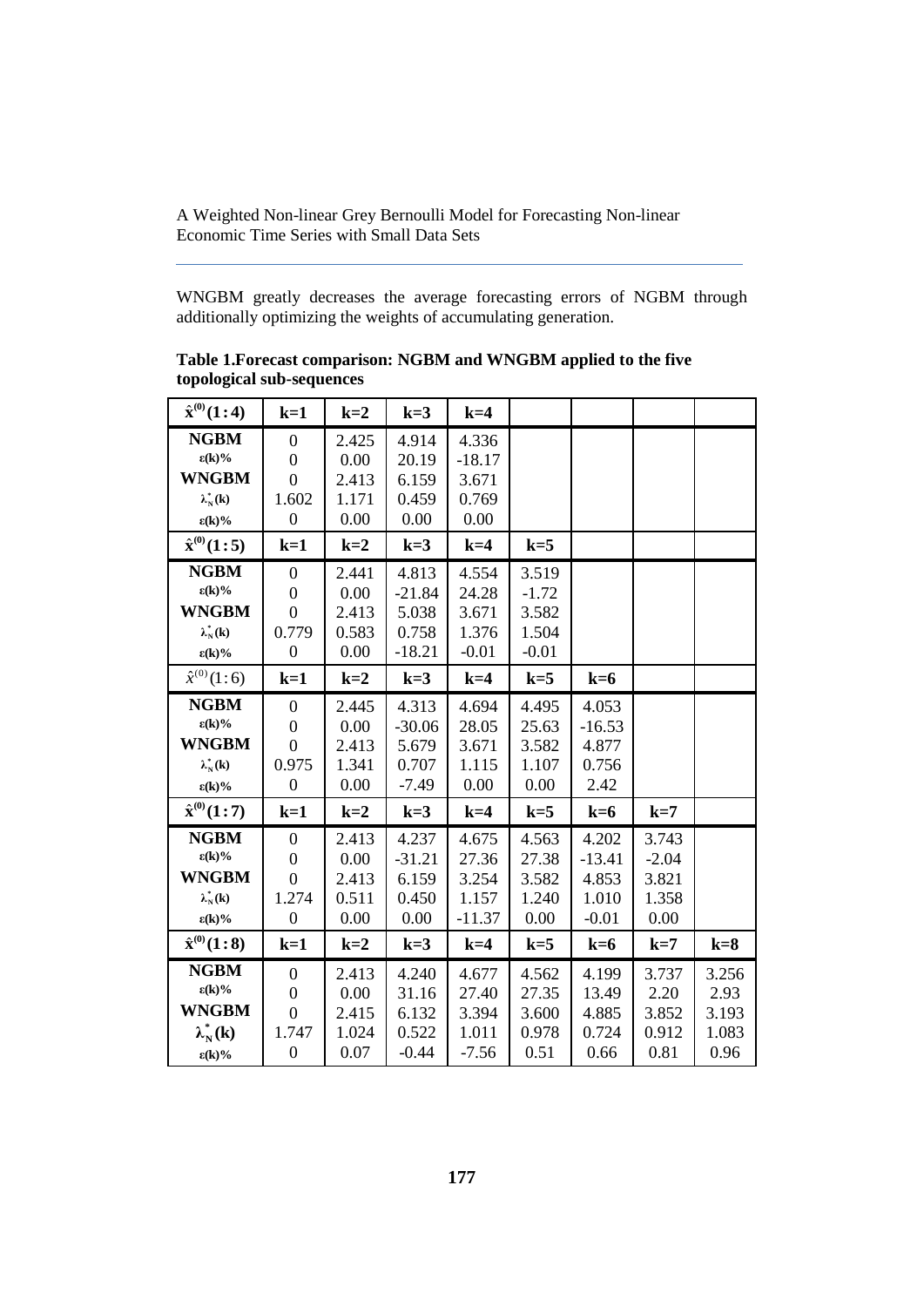WNGBM greatly decreases the average forecasting errors of NGBM through additionally optimizing the weights of accumulating generation.

| $\hat{x}^{(0)}(1:4)$      | $k=1$            | $k=2$ | $k=3$    | $k=4$    |         |          |         |       |
|---------------------------|------------------|-------|----------|----------|---------|----------|---------|-------|
| <b>NGBM</b>               | $\boldsymbol{0}$ | 2.425 | 4.914    | 4.336    |         |          |         |       |
| $\epsilon(\mathbf{k})\%$  | $\boldsymbol{0}$ | 0.00  | 20.19    | $-18.17$ |         |          |         |       |
| <b>WNGBM</b>              | $\boldsymbol{0}$ | 2.413 | 6.159    | 3.671    |         |          |         |       |
| $\lambda_N^*(\mathbf{k})$ | 1.602            | 1.171 | 0.459    | 0.769    |         |          |         |       |
| $\epsilon(k)\%$           | $\boldsymbol{0}$ | 0.00  | 0.00     | 0.00     |         |          |         |       |
| $\hat{x}^{(0)}(1:5)$      | $k=1$            | $k=2$ | $k=3$    | $k=4$    | $k=5$   |          |         |       |
| <b>NGBM</b>               | $\boldsymbol{0}$ | 2.441 | 4.813    | 4.554    | 3.519   |          |         |       |
| $\epsilon(k)\%$           | $\boldsymbol{0}$ | 0.00  | $-21.84$ | 24.28    | $-1.72$ |          |         |       |
| <b>WNGBM</b>              | $\boldsymbol{0}$ | 2.413 | 5.038    | 3.671    | 3.582   |          |         |       |
| $\lambda_N^*(\mathbf{k})$ | 0.779            | 0.583 | 0.758    | 1.376    | 1.504   |          |         |       |
| $\epsilon(k)\%$           | $\boldsymbol{0}$ | 0.00  | $-18.21$ | $-0.01$  | $-0.01$ |          |         |       |
| $\hat{x}^{(0)}(1:6)$      | $k=1$            | $k=2$ | $k=3$    | $k=4$    | $k=5$   | $k=6$    |         |       |
| <b>NGBM</b>               | $\boldsymbol{0}$ | 2.445 | 4.313    | 4.694    | 4.495   | 4.053    |         |       |
| $\epsilon(k)\%$           | $\boldsymbol{0}$ | 0.00  | $-30.06$ | 28.05    | 25.63   | $-16.53$ |         |       |
| <b>WNGBM</b>              | $\boldsymbol{0}$ | 2.413 | 5.679    | 3.671    | 3.582   | 4.877    |         |       |
| $\lambda_N^*(\mathbf{k})$ | 0.975            | 1.341 | 0.707    | 1.115    | 1.107   | 0.756    |         |       |
| $\epsilon(k)\%$           | $\boldsymbol{0}$ | 0.00  | $-7.49$  | 0.00     | 0.00    | 2.42     |         |       |
| $\hat{x}^{(0)}(1:7)$      | $k=1$            | $k=2$ | $k=3$    | $k=4$    | $k=5$   | $k=6$    | $k=7$   |       |
| <b>NGBM</b>               | $\boldsymbol{0}$ | 2.413 | 4.237    | 4.675    | 4.563   | 4.202    | 3.743   |       |
| $\epsilon(k)\%$           | $\boldsymbol{0}$ | 0.00  | $-31.21$ | 27.36    | 27.38   | $-13.41$ | $-2.04$ |       |
| <b>WNGBM</b>              | $\overline{0}$   | 2.413 | 6.159    | 3.254    | 3.582   | 4.853    | 3.821   |       |
| $\lambda_N^*(\mathbf{k})$ | 1.274            | 0.511 | 0.450    | 1.157    | 1.240   | 1.010    | 1.358   |       |
| $\epsilon(k)\%$           | $\boldsymbol{0}$ | 0.00  | 0.00     | $-11.37$ | 0.00    | $-0.01$  | 0.00    |       |
| $\hat{x}^{(0)}(1:8)$      | $k=1$            | $k=2$ | $k=3$    | $k=4$    | $k=5$   | $k=6$    | $k=7$   | $k=8$ |
| <b>NGBM</b>               | $\boldsymbol{0}$ | 2.413 | 4.240    | 4.677    | 4.562   | 4.199    | 3.737   | 3.256 |
| $\epsilon(k)\%$           | $\boldsymbol{0}$ | 0.00  | 31.16    | 27.40    | 27.35   | 13.49    | 2.20    | 2.93  |
| <b>WNGBM</b>              | $\boldsymbol{0}$ | 2.415 | 6.132    | 3.394    | 3.600   | 4.885    | 3.852   | 3.193 |
| $\lambda_N^*(k)$          | 1.747            | 1.024 | 0.522    | 1.011    | 0.978   | 0.724    | 0.912   | 1.083 |
| $\epsilon(k)\%$           | $\boldsymbol{0}$ | 0.07  | $-0.44$  | $-7.56$  | 0.51    | 0.66     | 0.81    | 0.96  |

**Table 1.Forecast comparison: NGBM and WNGBM applied to the five topological sub-sequences**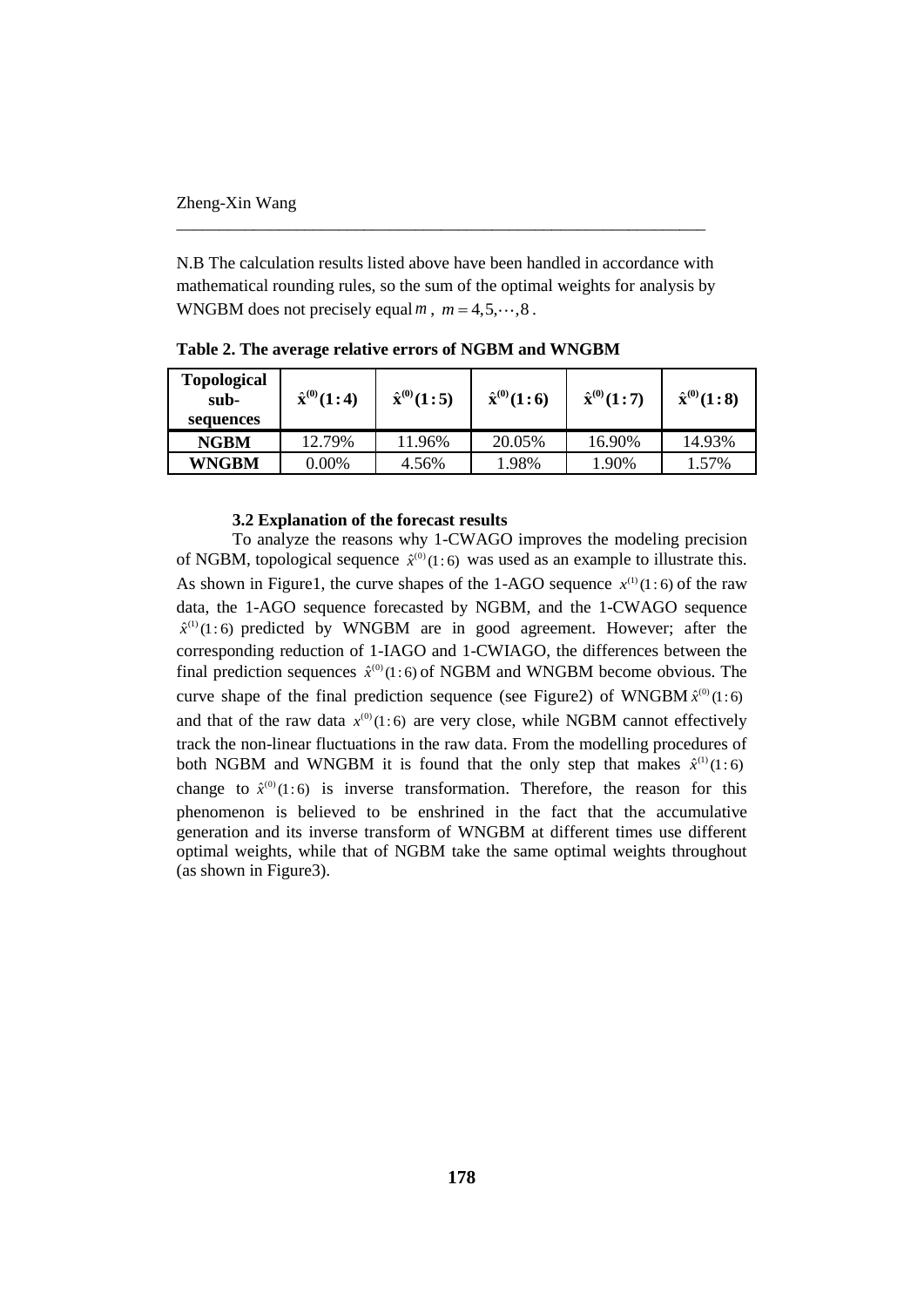N.B The calculation results listed above have been handled in accordance with mathematical rounding rules, so the sum of the optimal weights for analysis by WNGBM does not precisely equal  $m$ ,  $m = 4, 5, \dots, 8$ .

\_\_\_\_\_\_\_\_\_\_\_\_\_\_\_\_\_\_\_\_\_\_\_\_\_\_\_\_\_\_\_\_\_\_\_\_\_\_\_\_\_\_\_\_\_\_\_\_\_\_\_\_\_\_\_\_\_\_\_\_\_\_

| <b>Topological</b><br>sub-<br>sequences | $\hat{\mathbf{x}}^{(0)}(1:4)$ | $\hat{x}^{(0)}(1:5)$ | $\hat{x}^{(0)}(1:6)$ | $\hat{\mathbf{x}}^{(0)}(1:7)$ | $\hat{\mathbf{x}}^{(0)}(1:8)$ |
|-----------------------------------------|-------------------------------|----------------------|----------------------|-------------------------------|-------------------------------|
| <b>NGBM</b>                             | 12.79%                        | 11.96%               | 20.05%               | 16.90%                        | 14.93%                        |
| <b>WNGBM</b>                            | $0.00\%$                      | 4.56%                | 1.98%                | 1.90%                         | 1.57%                         |

**Table 2. The average relative errors of NGBM and WNGBM**

## **3.2 Explanation of the forecast results**

To analyze the reasons why 1-CWAGO improves the modeling precision of NGBM, topological sequence  $\hat{x}^{(0)}(1:6)$  was used as an example to illustrate this. As shown in Figure1, the curve shapes of the 1-AGO sequence  $x^{(1)}(1:6)$  of the raw data, the 1-AGO sequence forecasted by NGBM, and the 1-CWAGO sequence  $\hat{x}^{(1)}(1:6)$  predicted by WNGBM are in good agreement. However; after the corresponding reduction of 1-IAGO and 1-CWIAGO, the differences between the final prediction sequences  $\hat{x}^{(0)}(1:6)$  of NGBM and WNGBM become obvious. The curve shape of the final prediction sequence (see Figure 2) of WNGBM  $\hat{x}^{(0)}(1:6)$ and that of the raw data  $x^{(0)}(1:6)$  are very close, while NGBM cannot effectively track the non-linear fluctuations in the raw data. From the modelling procedures of both NGBM and WNGBM it is found that the only step that makes  $\hat{x}^{(1)}(1:6)$ change to  $\hat{x}^{(0)}(1:6)$  is inverse transformation. Therefore, the reason for this phenomenon is believed to be enshrined in the fact that the accumulative generation and its inverse transform of WNGBM at different times use different optimal weights, while that of NGBM take the same optimal weights throughout (as shown in Figure3).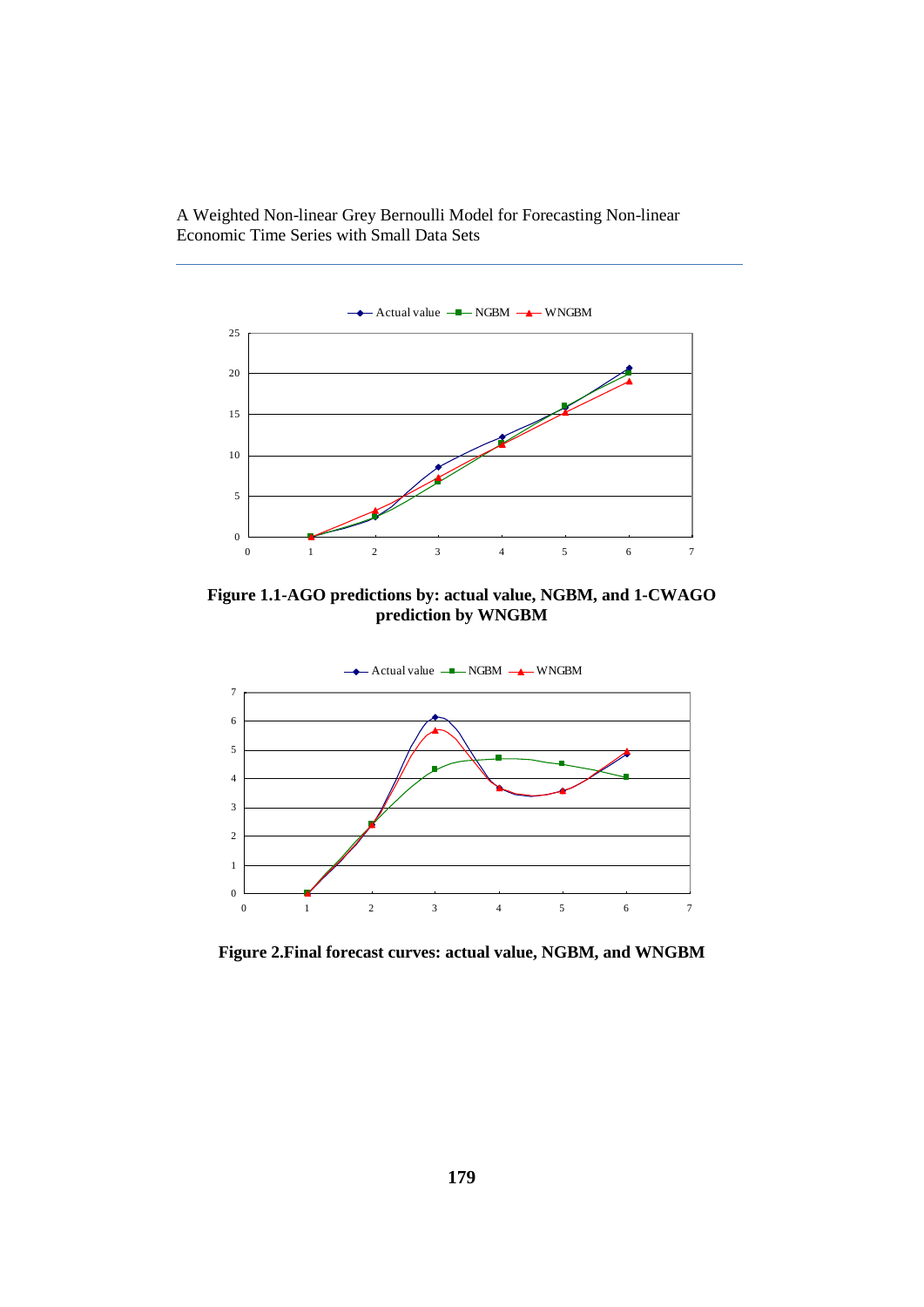

**Figure 1.1-AGO predictions by: actual value, NGBM, and 1-CWAGO prediction by WNGBM**



**Figure 2.Final forecast curves: actual value, NGBM, and WNGBM**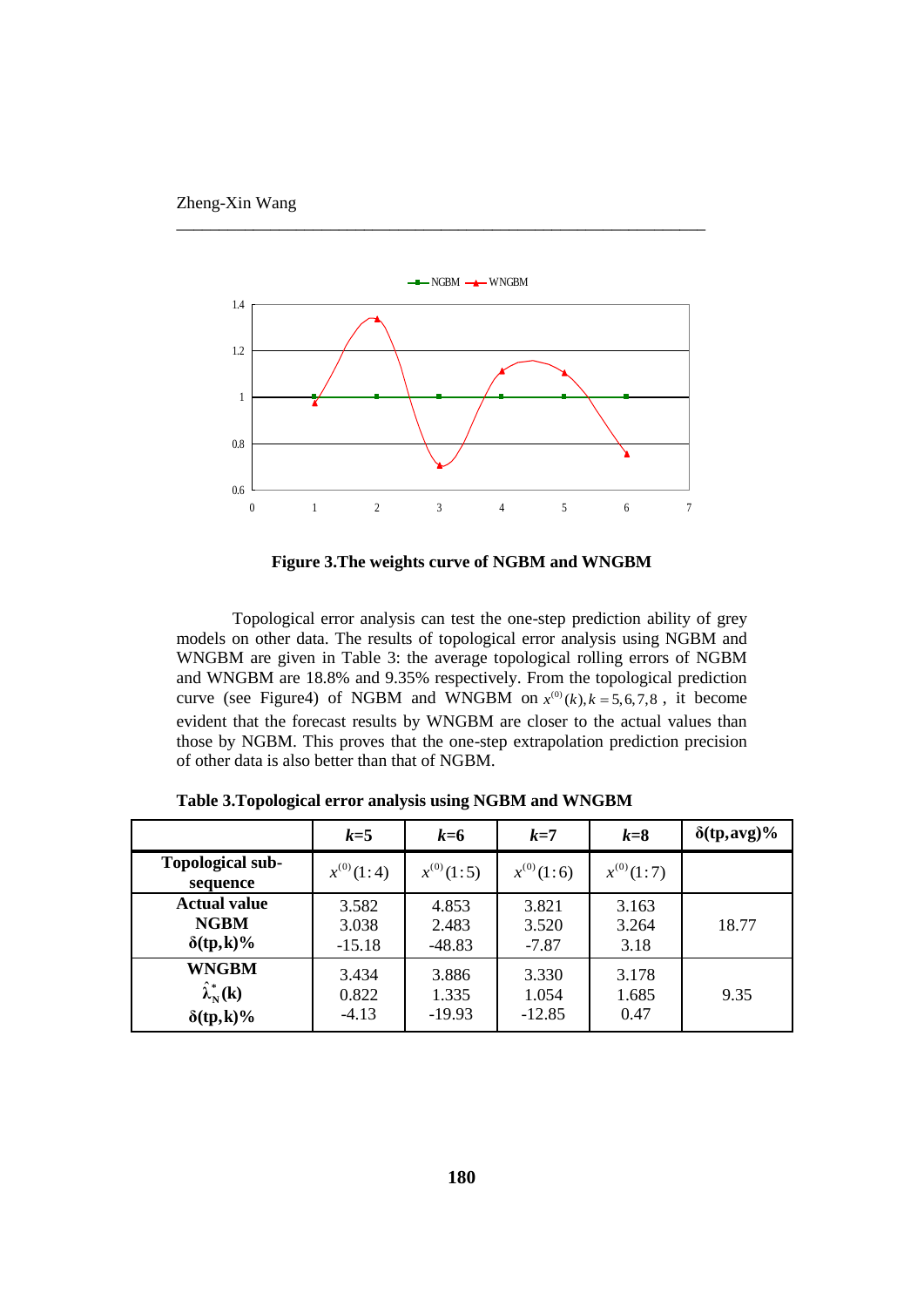



\_\_\_\_\_\_\_\_\_\_\_\_\_\_\_\_\_\_\_\_\_\_\_\_\_\_\_\_\_\_\_\_\_\_\_\_\_\_\_\_\_\_\_\_\_\_\_\_\_\_\_\_\_\_\_\_\_\_\_\_\_\_

**Figure 3.The weights curve of NGBM and WNGBM**

Topological error analysis can test the one-step prediction ability of grey models on other data. The results of topological error analysis using NGBM and WNGBM are given in Table 3: the average topological rolling errors of NGBM and WNGBM are 18.8% and 9.35% respectively. From the topological prediction curve (see Figure4) of NGBM and WNGBM on  $x^{(0)}(k)$ ,  $k = 5, 6, 7, 8$ , it become evident that the forecast results by WNGBM are closer to the actual values than those by NGBM. This proves that the one-step extrapolation prediction precision of other data is also better than that of NGBM.

|                                     | $k=5$          | $k=6$          | $k=7$          | $k=8$          | $\delta(tp, avg)\%$ |
|-------------------------------------|----------------|----------------|----------------|----------------|---------------------|
| Topological sub-<br>sequence        | $x^{(0)}(1:4)$ | $x^{(0)}(1:5)$ | $x^{(0)}(1:6)$ | $x^{(0)}(1:7)$ |                     |
| <b>Actual value</b>                 | 3.582          | 4.853          | 3.821          | 3.163          | 18.77               |
| <b>NGBM</b>                         | 3.038          | 2.483          | 3.520          | 3.264          |                     |
| $\delta(tp,k)\%$                    | $-15.18$       | $-48.83$       | $-7.87$        | 3.18           |                     |
| <b>WNGBM</b>                        | 3.434          | 3.886          | 3.330          | 3.178          | 9.35                |
| $\hat{\lambda}_{N}^{*}(\mathbf{k})$ | 0.822          | 1.335          | 1.054          | 1.685          |                     |
| $\delta(tp,k)\%$                    | $-4.13$        | $-19.93$       | $-12.85$       | 0.47           |                     |

**Table 3.Topological error analysis using NGBM and WNGBM**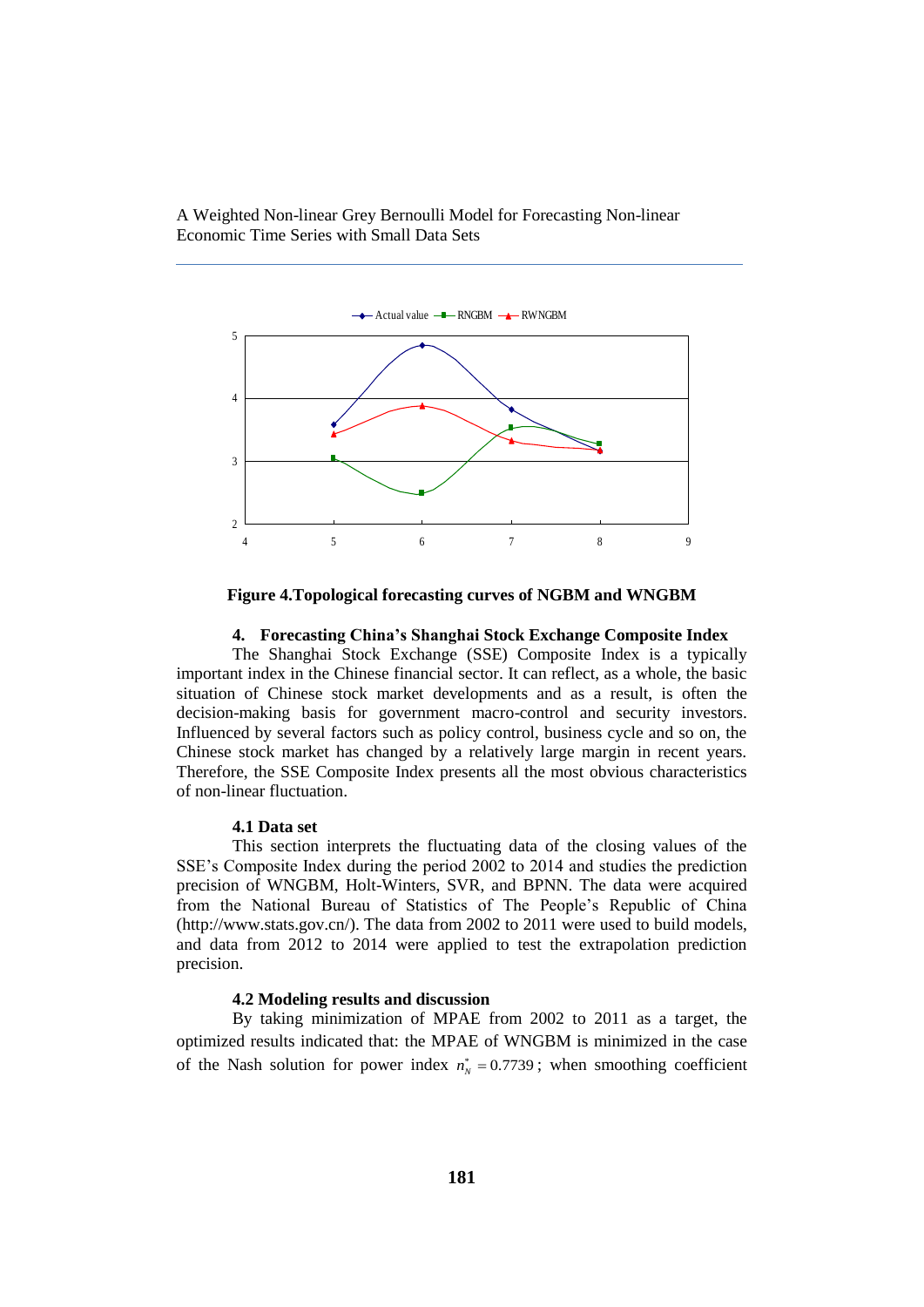

**Figure 4.Topological forecasting curves of NGBM and WNGBM**

### **4. Forecasting China's Shanghai Stock Exchange Composite Index**

The Shanghai Stock Exchange (SSE) Composite Index is a typically important index in the Chinese financial sector. It can reflect, as a whole, the basic situation of Chinese stock market developments and as a result, is often the decision-making basis for government macro-control and security investors. Influenced by several factors such as policy control, business cycle and so on, the Chinese stock market has changed by a relatively large margin in recent years. Therefore, the SSE Composite Index presents all the most obvious characteristics of non-linear fluctuation.

### **4.1 Data set**

This section interprets the fluctuating data of the closing values of the SSE's Composite Index during the period 2002 to 2014 and studies the prediction precision of WNGBM, Holt-Winters, SVR, and BPNN. The data were acquired from the National Bureau of Statistics of The People's Republic of China [\(http://www.stats.gov.cn/\)](http://www.stats.gov.cn/). The data from 2002 to 2011 were used to build models, and data from 2012 to 2014 were applied to test the extrapolation prediction precision.

# **4.2 Modeling results and discussion**

By taking minimization of MPAE from 2002 to 2011 as a target, the optimized results indicated that: the MPAE of WNGBM is minimized in the case of the Nash solution for power index  $n_N^* = 0.7739$ ; when smoothing coefficient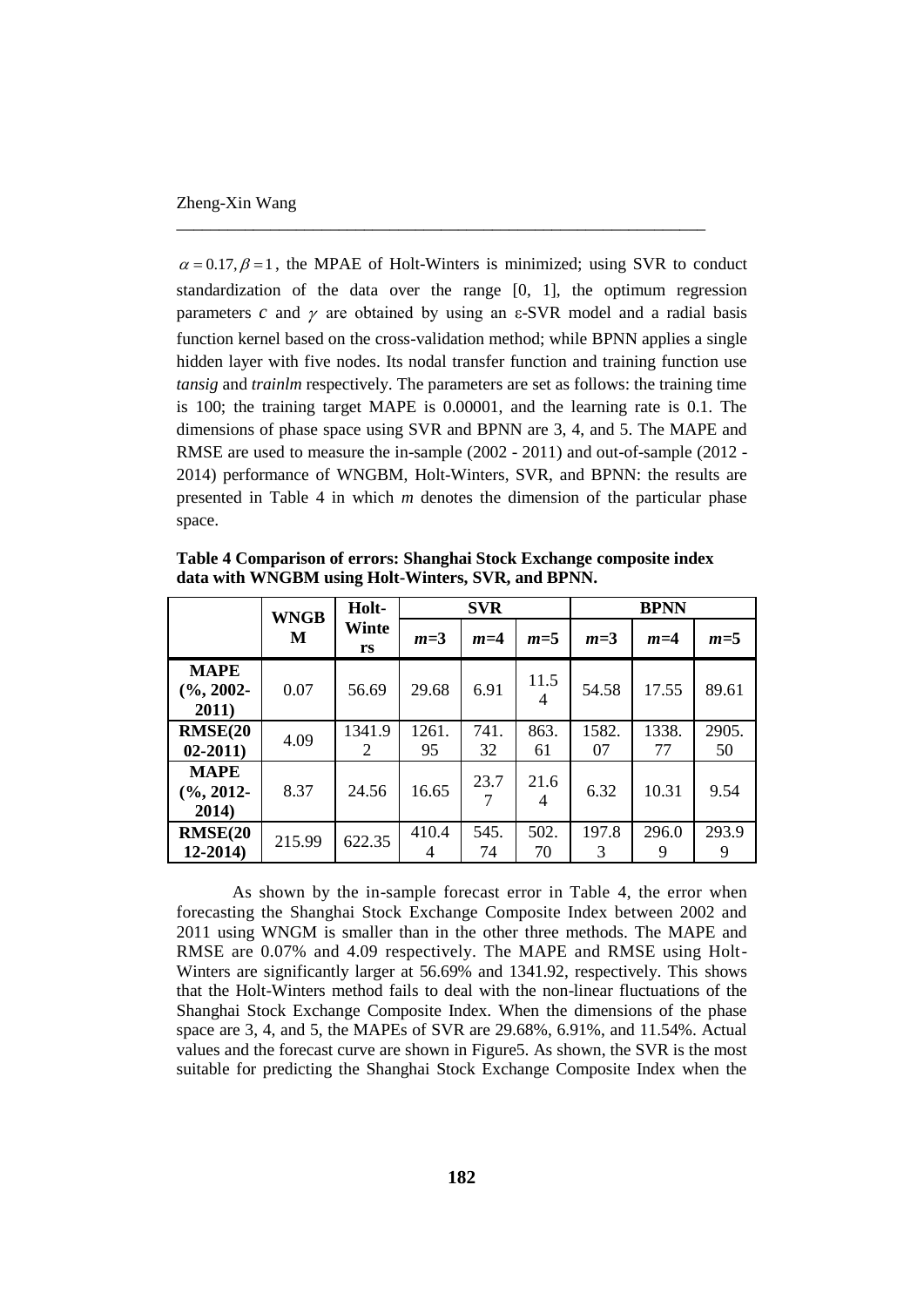$\alpha = 0.17$ ,  $\beta = 1$ , the MPAE of Holt-Winters is minimized; using SVR to conduct standardization of the data over the range [0, 1], the optimum regression parameters  $c$  and  $\gamma$  are obtained by using an  $\varepsilon$ -SVR model and a radial basis function kernel based on the cross-validation method; while BPNN applies a single hidden layer with five nodes. Its nodal transfer function and training function use *tansig* and *trainlm* respectively. The parameters are set as follows: the training time is 100; the training target MAPE is 0.00001, and the learning rate is 0.1. The dimensions of phase space using SVR and BPNN are 3, 4, and 5. The MAPE and RMSE are used to measure the in-sample (2002 - 2011) and out-of-sample (2012 - 2014) performance of WNGBM, Holt-Winters, SVR, and BPNN: the results are presented in Table 4 in which *m* denotes the dimension of the particular phase space.

\_\_\_\_\_\_\_\_\_\_\_\_\_\_\_\_\_\_\_\_\_\_\_\_\_\_\_\_\_\_\_\_\_\_\_\_\_\_\_\_\_\_\_\_\_\_\_\_\_\_\_\_\_\_\_\_\_\_\_\_\_\_

|                                       | <b>WNGB</b><br>M | Holt-       | <b>SVR</b>  |            |            | <b>BPNN</b> |             |             |
|---------------------------------------|------------------|-------------|-------------|------------|------------|-------------|-------------|-------------|
|                                       |                  | Winte<br>rs | $m=3$       | $m=4$      | $m=5$      | $m=3$       | $m=4$       | $m=5$       |
| <b>MAPE</b><br>$(\%$ , 2002-<br>2011) | 0.07             | 56.69       | 29.68       | 6.91       | 11.5<br>4  | 54.58       | 17.55       | 89.61       |
| <b>RMSE(20</b><br>$02 - 2011$         | 4.09             | 1341.9<br>2 | 1261.<br>95 | 741.<br>32 | 863.<br>61 | 1582.<br>07 | 1338.<br>77 | 2905.<br>50 |
| <b>MAPE</b><br>$(\%$ , 2012-<br>2014) | 8.37             | 24.56       | 16.65       | 23.7       | 21.6<br>4  | 6.32        | 10.31       | 9.54        |
| <b>RMSE(20</b><br>$12 - 2014$         | 215.99           | 622.35      | 410.4<br>4  | 545.<br>74 | 502.<br>70 | 197.8<br>3  | 296.0<br>9  | 293.9<br>9  |

**Table 4 Comparison of errors: Shanghai Stock Exchange composite index data with WNGBM using Holt-Winters, SVR, and BPNN.**

As shown by the in-sample forecast error in Table 4, the error when forecasting the Shanghai Stock Exchange Composite Index between 2002 and 2011 using WNGM is smaller than in the other three methods. The MAPE and RMSE are 0.07% and 4.09 respectively. The MAPE and RMSE using Holt-Winters are significantly larger at 56.69% and 1341.92, respectively. This shows that the Holt-Winters method fails to deal with the non-linear fluctuations of the Shanghai Stock Exchange Composite Index. When the dimensions of the phase space are 3, 4, and 5, the MAPEs of SVR are 29.68%, 6.91%, and 11.54%. Actual values and the forecast curve are shown in Figure5. As shown, the SVR is the most suitable for predicting the Shanghai Stock Exchange Composite Index when the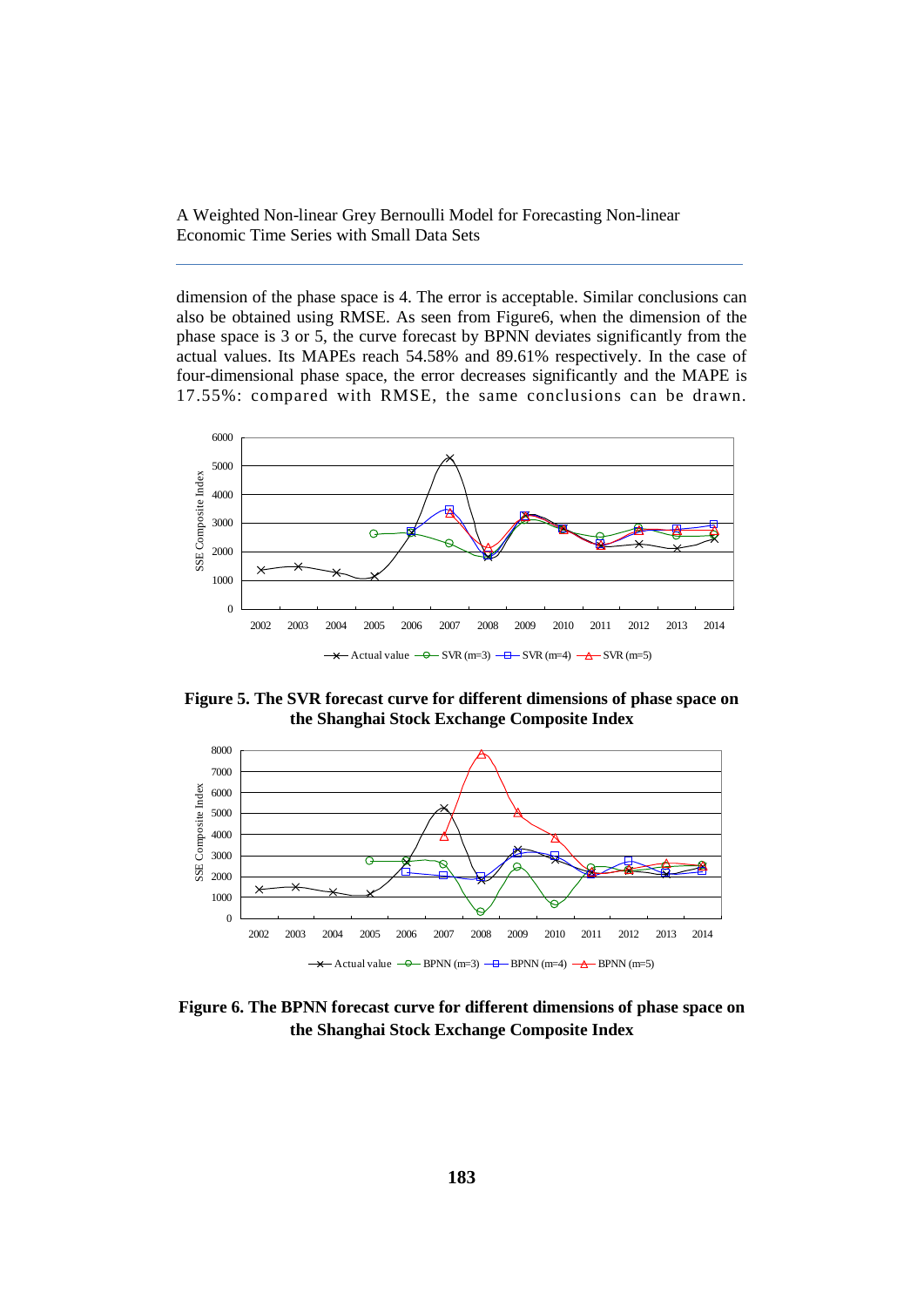dimension of the phase space is 4. The error is acceptable. Similar conclusions can also be obtained using RMSE. As seen from Figure6, when the dimension of the phase space is 3 or 5, the curve forecast by BPNN deviates significantly from the actual values. Its MAPEs reach 54.58% and 89.61% respectively. In the case of four-dimensional phase space, the error decreases significantly and the MAPE is 17.55%: compared with RMSE, the same conclusions can be drawn.



**Figure 5. The SVR forecast curve for different dimensions of phase space on the Shanghai Stock Exchange Composite Index**



**Figure 6. The BPNN forecast curve for different dimensions of phase space on the Shanghai Stock Exchange Composite Index**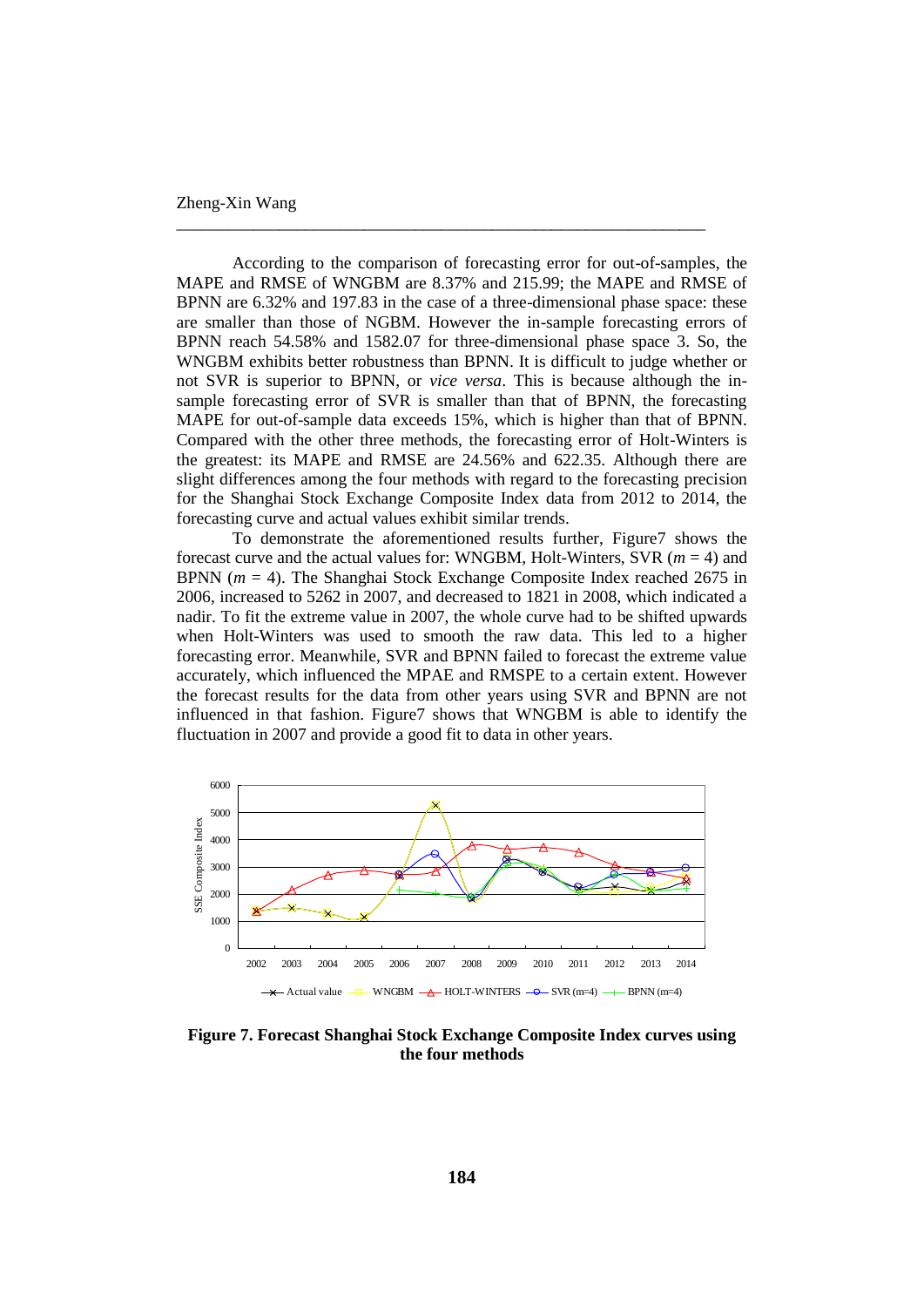## Zheng-Xin Wang

According to the comparison of forecasting error for out-of-samples, the MAPE and RMSE of WNGBM are 8.37% and 215.99; the MAPE and RMSE of BPNN are 6.32% and 197.83 in the case of a three-dimensional phase space: these are smaller than those of NGBM. However the in-sample forecasting errors of BPNN reach 54.58% and 1582.07 for three-dimensional phase space 3. So, the WNGBM exhibits better robustness than BPNN. It is difficult to judge whether or not SVR is superior to BPNN, or *vice versa*. This is because although the insample forecasting error of SVR is smaller than that of BPNN, the forecasting MAPE for out-of-sample data exceeds 15%, which is higher than that of BPNN. Compared with the other three methods, the forecasting error of Holt-Winters is the greatest: its MAPE and RMSE are 24.56% and 622.35. Although there are slight differences among the four methods with regard to the forecasting precision for the Shanghai Stock Exchange Composite Index data from 2012 to 2014, the forecasting curve and actual values exhibit similar trends.

\_\_\_\_\_\_\_\_\_\_\_\_\_\_\_\_\_\_\_\_\_\_\_\_\_\_\_\_\_\_\_\_\_\_\_\_\_\_\_\_\_\_\_\_\_\_\_\_\_\_\_\_\_\_\_\_\_\_\_\_\_\_

To demonstrate the aforementioned results further, Figure7 shows the forecast curve and the actual values for: WNGBM, Holt-Winters, SVR (*m* = 4) and BPNN (*m* = 4). The Shanghai Stock Exchange Composite Index reached 2675 in 2006, increased to 5262 in 2007, and decreased to 1821 in 2008, which indicated a nadir. To fit the extreme value in 2007, the whole curve had to be shifted upwards when Holt-Winters was used to smooth the raw data. This led to a higher forecasting error. Meanwhile, SVR and BPNN failed to forecast the extreme value accurately, which influenced the MPAE and RMSPE to a certain extent. However the forecast results for the data from other years using SVR and BPNN are not influenced in that fashion. Figure7 shows that WNGBM is able to identify the fluctuation in 2007 and provide a good fit to data in other years.



**Figure 7. Forecast Shanghai Stock Exchange Composite Index curves using the four methods**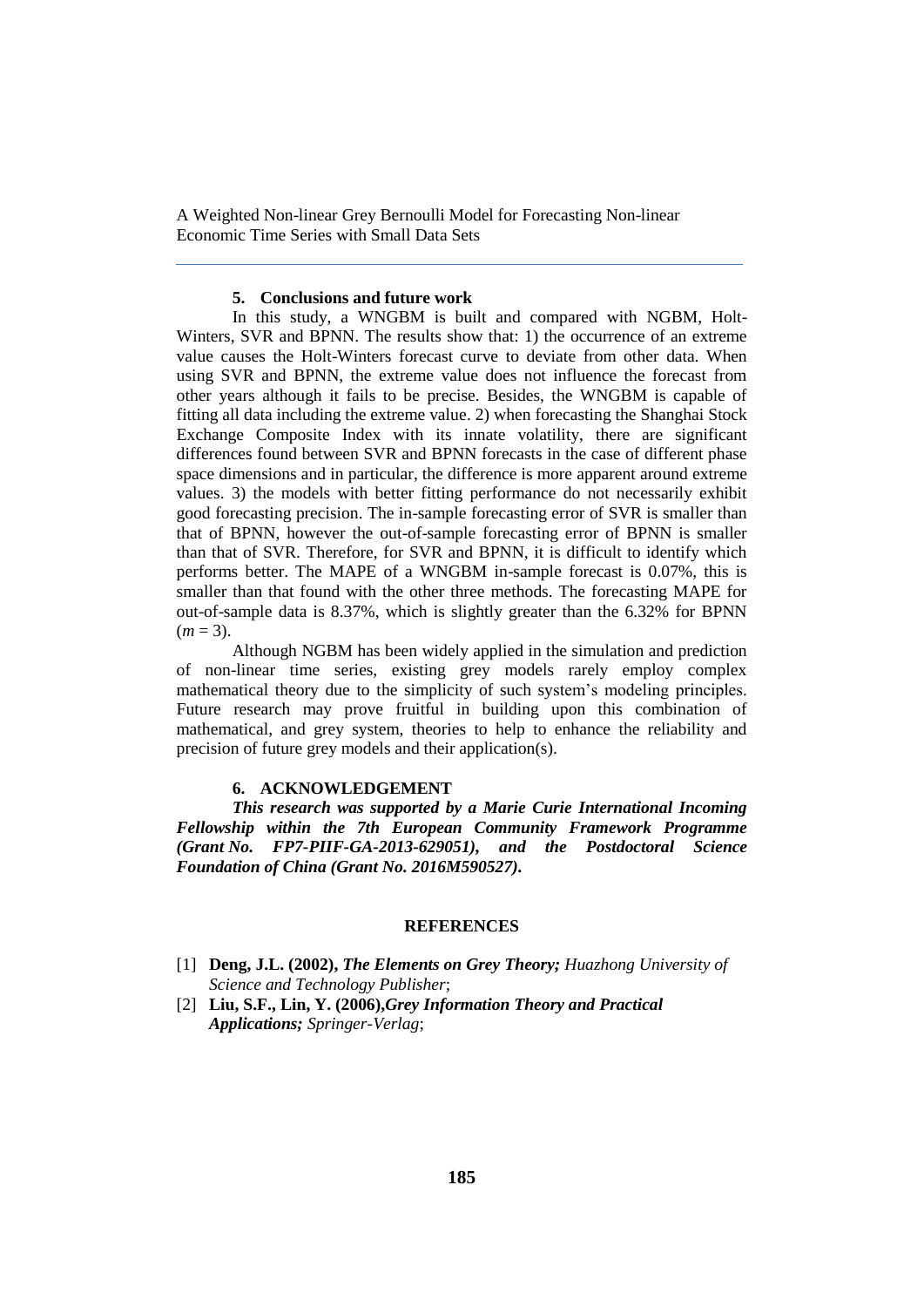# **5. Conclusions and future work**

In this study, a WNGBM is built and compared with NGBM, Holt-Winters, SVR and BPNN. The results show that: 1) the occurrence of an extreme value causes the Holt-Winters forecast curve to deviate from other data. When using SVR and BPNN, the extreme value does not influence the forecast from other years although it fails to be precise. Besides, the WNGBM is capable of fitting all data including the extreme value. 2) when forecasting the Shanghai Stock Exchange Composite Index with its innate volatility, there are significant differences found between SVR and BPNN forecasts in the case of different phase space dimensions and in particular, the difference is more apparent around extreme values. 3) the models with better fitting performance do not necessarily exhibit good forecasting precision. The in-sample forecasting error of SVR is smaller than that of BPNN, however the out-of-sample forecasting error of BPNN is smaller than that of SVR. Therefore, for SVR and BPNN, it is difficult to identify which performs better. The MAPE of a WNGBM in-sample forecast is 0.07%, this is smaller than that found with the other three methods. The forecasting MAPE for out-of-sample data is 8.37%, which is slightly greater than the 6.32% for BPNN  $(m = 3)$ .

Although NGBM has been widely applied in the simulation and prediction of non-linear time series, existing grey models rarely employ complex mathematical theory due to the simplicity of such system's modeling principles. Future research may prove fruitful in building upon this combination of mathematical, and grey system, theories to help to enhance the reliability and precision of future grey models and their application(s).

### **6. ACKNOWLEDGEMENT**

*This research was supported by a Marie Curie International Incoming Fellowship within the 7th European Community Framework Programme (Grant No. FP7-PIIF-GA-2013-629051), and the Postdoctoral Science Foundation of China (Grant No. 2016M590527).*

# **REFERENCES**

- [1] **Deng, J.L. (2002),** *The Elements on Grey Theory; Huazhong University of Science and Technology Publisher*;
- [2] **Liu, S.F., Lin, Y. (2006),***Grey Information Theory and Practical Applications; Springer-Verlag*;